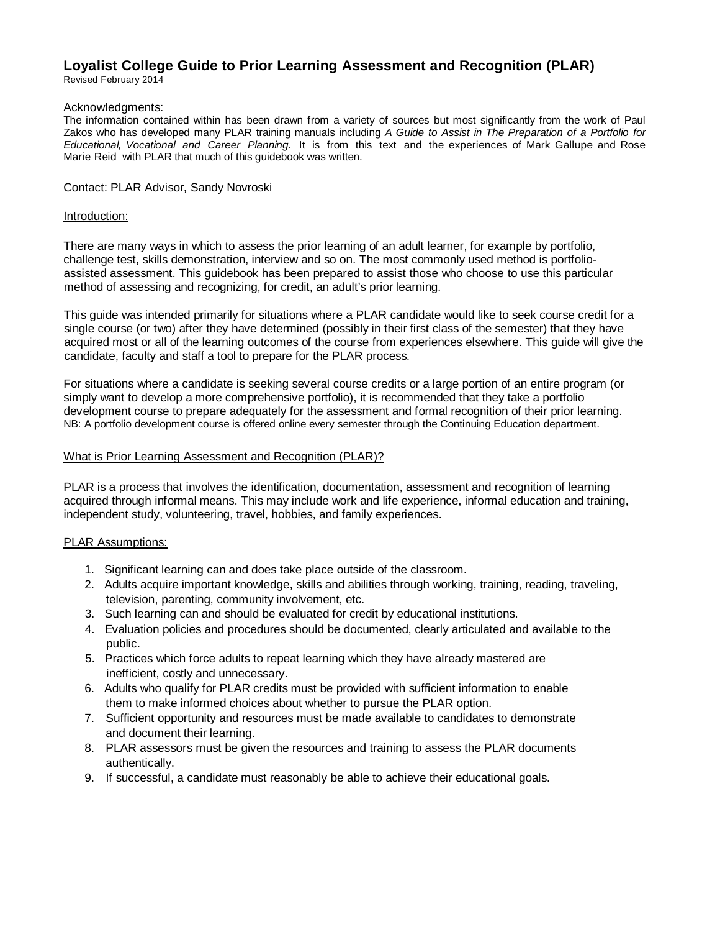# **Loyalist College Guide to Prior Learning Assessment and Recognition (PLAR)**

Revised February 2014

### Acknowledgments:

The information contained within has been drawn from a variety of sources but most significantly from the work of Paul Zakos who has developed many PLAR training manuals including *A Guide to Assist in The Preparation of a Portfolio for Educational, Vocational and Career Planning.* It is from this text and the experiences of Mark Gallupe and Rose Marie Reid with PLAR that much of this guidebook was written.

### Contact: PLAR Advisor, Sandy Novroski

#### Introduction:

There are many ways in which to assess the prior learning of an adult learner, for example by portfolio, challenge test, skills demonstration, interview and so on. The most commonly used method is portfolioassisted assessment. This guidebook has been prepared to assist those who choose to use this particular method of assessing and recognizing, for credit, an adult's prior learning.

This guide was intended primarily for situations where a PLAR candidate would like to seek course credit for a single course (or two) after they have determined (possibly in their first class of the semester) that they have acquired most or all of the learning outcomes of the course from experiences elsewhere. This guide will give the candidate, faculty and staff a tool to prepare for the PLAR process.

For situations where a candidate is seeking several course credits or a large portion of an entire program (or simply want to develop a more comprehensive portfolio), it is recommended that they take a portfolio development course to prepare adequately for the assessment and formal recognition of their prior learning. NB: A portfolio development course is offered online every semester through the Continuing Education department.

### What is Prior Learning Assessment and Recognition (PLAR)?

PLAR is a process that involves the identification, documentation, assessment and recognition of learning acquired through informal means. This may include work and life experience, informal education and training, independent study, volunteering, travel, hobbies, and family experiences.

### PLAR Assumptions:

- 1. Significant learning can and does take place outside of the classroom.
- 2. Adults acquire important knowledge, skills and abilities through working, training, reading, traveling, television, parenting, community involvement, etc.
- 3. Such learning can and should be evaluated for credit by educational institutions.
- 4. Evaluation policies and procedures should be documented, clearly articulated and available to the public.
- 5. Practices which force adults to repeat learning which they have already mastered are inefficient, costly and unnecessary.
- 6. Adults who qualify for PLAR credits must be provided with sufficient information to enable them to make informed choices about whether to pursue the PLAR option.
- 7. Sufficient opportunity and resources must be made available to candidates to demonstrate and document their learning.
- 8. PLAR assessors must be given the resources and training to assess the PLAR documents authentically.
- 9. If successful, a candidate must reasonably be able to achieve their educational goals.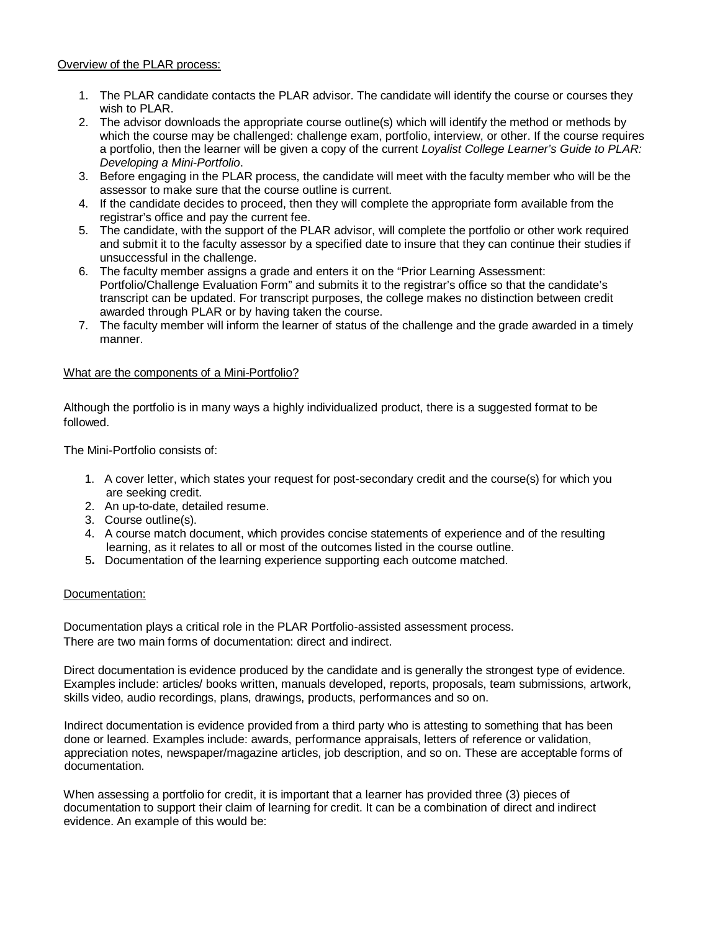Overview of the PLAR process:

- 1. The PLAR candidate contacts the PLAR advisor. The candidate will identify the course or courses they wish to PLAR.
- 2. The advisor downloads the appropriate course outline(s) which will identify the method or methods by which the course may be challenged: challenge exam, portfolio, interview, or other. If the course requires a portfolio, then the learner will be given a copy of the current *Loyalist College Learner's Guide to PLAR: Developing a Mini-Portfolio*.
- 3. Before engaging in the PLAR process, the candidate will meet with the faculty member who will be the assessor to make sure that the course outline is current.
- 4. If the candidate decides to proceed, then they will complete the appropriate form available from the registrar's office and pay the current fee.
- 5. The candidate, with the support of the PLAR advisor, will complete the portfolio or other work required and submit it to the faculty assessor by a specified date to insure that they can continue their studies if unsuccessful in the challenge.
- 6. The faculty member assigns a grade and enters it on the "Prior Learning Assessment: Portfolio/Challenge Evaluation Form" and submits it to the registrar's office so that the candidate's transcript can be updated. For transcript purposes, the college makes no distinction between credit awarded through PLAR or by having taken the course.
- 7. The faculty member will inform the learner of status of the challenge and the grade awarded in a timely manner.

## What are the components of a Mini-Portfolio?

Although the portfolio is in many ways a highly individualized product, there is a suggested format to be followed.

The Mini-Portfolio consists of:

- 1. A cover letter, which states your request for post-secondary credit and the course(s) for which you are seeking credit.
- 2. An up-to-date, detailed resume.
- 3. Course outline(s).
- 4. A course match document, which provides concise statements of experience and of the resulting learning, as it relates to all or most of the outcomes listed in the course outline.
- 5**.** Documentation of the learning experience supporting each outcome matched.

## Documentation:

Documentation plays a critical role in the PLAR Portfolio-assisted assessment process. There are two main forms of documentation: direct and indirect.

Direct documentation is evidence produced by the candidate and is generally the strongest type of evidence. Examples include: articles/ books written, manuals developed, reports, proposals, team submissions, artwork, skills video, audio recordings, plans, drawings, products, performances and so on.

Indirect documentation is evidence provided from a third party who is attesting to something that has been done or learned. Examples include: awards, performance appraisals, letters of reference or validation, appreciation notes, newspaper/magazine articles, job description, and so on. These are acceptable forms of documentation.

When assessing a portfolio for credit, it is important that a learner has provided three (3) pieces of documentation to support their claim of learning for credit. It can be a combination of direct and indirect evidence. An example of this would be: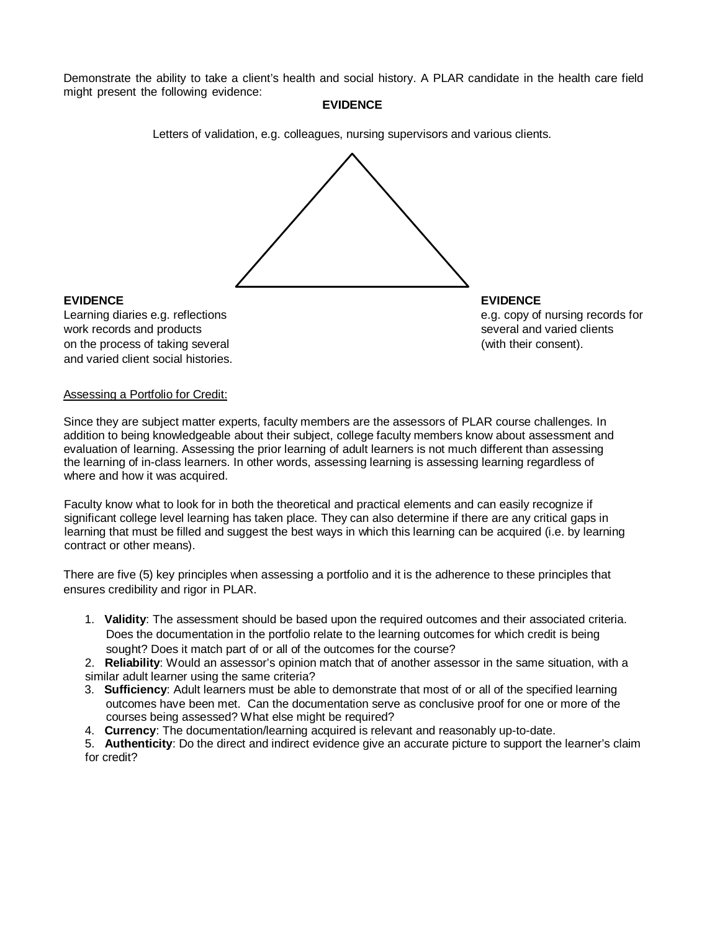Demonstrate the ability to take a client's health and social history. A PLAR candidate in the health care field might present the following evidence:

## **EVIDENCE**

Letters of validation, e.g. colleagues, nursing supervisors and various clients.



## **EVIDENCE EVIDENCE**

Learning diaries e.g. reflections e.g. reflections e.g. copy of nursing records for work records and products several and varied clients several and varied clients on the process of taking several (with their consent). and varied client social histories.

## Assessing a Portfolio for Credit:

Since they are subject matter experts, faculty members are the assessors of PLAR course challenges. In addition to being knowledgeable about their subject, college faculty members know about assessment and evaluation of learning. Assessing the prior learning of adult learners is not much different than assessing the learning of in-class learners. In other words, assessing learning is assessing learning regardless of where and how it was acquired.

Faculty know what to look for in both the theoretical and practical elements and can easily recognize if significant college level learning has taken place. They can also determine if there are any critical gaps in learning that must be filled and suggest the best ways in which this learning can be acquired (i.e. by learning contract or other means).

There are five (5) key principles when assessing a portfolio and it is the adherence to these principles that ensures credibility and rigor in PLAR.

1. **Validity**: The assessment should be based upon the required outcomes and their associated criteria. Does the documentation in the portfolio relate to the learning outcomes for which credit is being sought? Does it match part of or all of the outcomes for the course?

2. **Reliability**: Would an assessor's opinion match that of another assessor in the same situation, with a similar adult learner using the same criteria?

- 3. **Sufficiency**: Adult learners must be able to demonstrate that most of or all of the specified learning outcomes have been met. Can the documentation serve as conclusive proof for one or more of the courses being assessed? What else might be required?
- 4. **Currency**: The documentation/learning acquired is relevant and reasonably up-to-date.

5. **Authenticity**: Do the direct and indirect evidence give an accurate picture to support the learner's claim for credit?